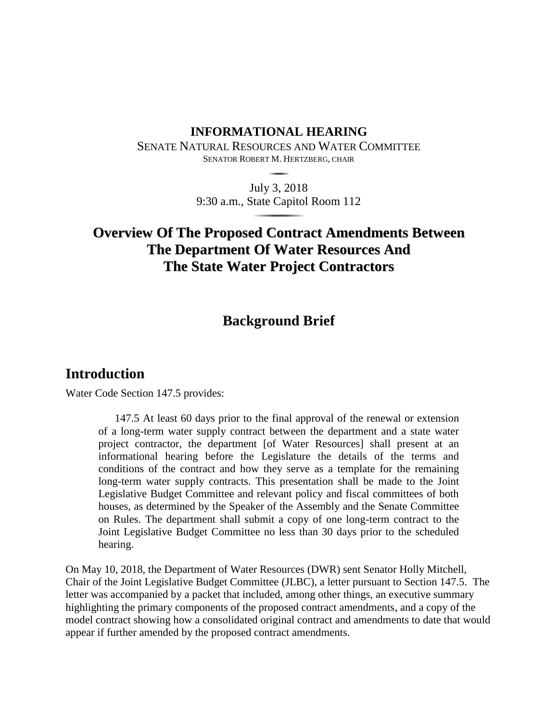# **INFORMATIONAL HEARING**

SENATE NATURAL RESOURCES AND WATER COMMITTEE SENATOR ROBERT M. HERTZBERG, CHAIR

> July 3, 2018 9:30 a.m., State Capitol Room 112

# **Overview Of The Proposed Contract Amendments Between The Department Of Water Resources And The State Water Project Contractors**

# **Background Brief**

# **Introduction**

Water Code Section 147.5 provides:

147.5 At least 60 days prior to the final approval of the renewal or extension of a long-term water supply contract between the department and a state water project contractor, the department [of Water Resources] shall present at an informational hearing before the Legislature the details of the terms and conditions of the contract and how they serve as a template for the remaining long-term water supply contracts. This presentation shall be made to the Joint Legislative Budget Committee and relevant policy and fiscal committees of both houses, as determined by the Speaker of the Assembly and the Senate Committee on Rules. The department shall submit a copy of one long-term contract to the Joint Legislative Budget Committee no less than 30 days prior to the scheduled hearing.

On May 10, 2018, the Department of Water Resources (DWR) sent Senator Holly Mitchell, Chair of the Joint Legislative Budget Committee (JLBC), a letter pursuant to Section 147.5. The letter was accompanied by a packet that included, among other things, an executive summary highlighting the primary components of the proposed contract amendments, and a copy of the model contract showing how a consolidated original contract and amendments to date that would appear if further amended by the proposed contract amendments.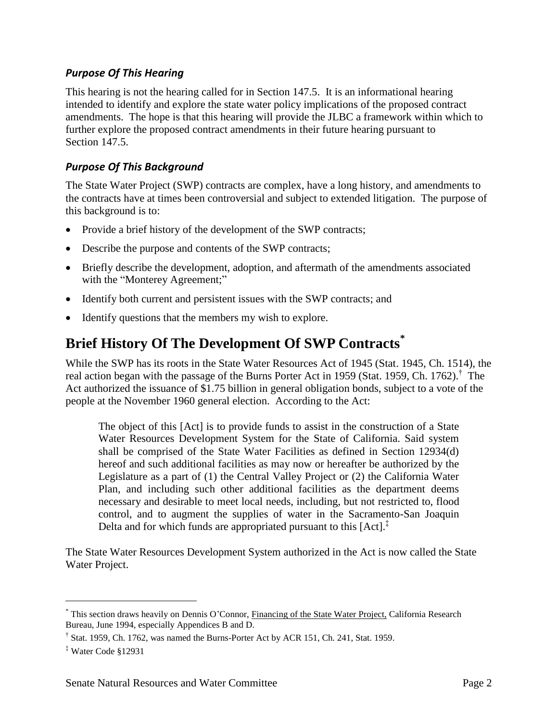## *Purpose Of This Hearing*

This hearing is not the hearing called for in Section 147.5. It is an informational hearing intended to identify and explore the state water policy implications of the proposed contract amendments. The hope is that this hearing will provide the JLBC a framework within which to further explore the proposed contract amendments in their future hearing pursuant to Section 147.5.

# *Purpose Of This Background*

The State Water Project (SWP) contracts are complex, have a long history, and amendments to the contracts have at times been controversial and subject to extended litigation. The purpose of this background is to:

- Provide a brief history of the development of the SWP contracts;
- Describe the purpose and contents of the SWP contracts;
- Briefly describe the development, adoption, and aftermath of the amendments associated with the "Monterey Agreement;"
- Identify both current and persistent issues with the SWP contracts; and
- Identify questions that the members my wish to explore.

# **Brief History Of The Development Of SWP Contracts\***

While the SWP has its roots in the State Water Resources Act of 1945 (Stat. 1945, Ch. 1514), the real action began with the passage of the Burns Porter Act in 1959 (Stat. 1959, Ch. 1762).<sup>†</sup> The Act authorized the issuance of \$1.75 billion in general obligation bonds, subject to a vote of the people at the November 1960 general election. According to the Act:

The object of this [Act] is to provide funds to assist in the construction of a State Water Resources Development System for the State of California. Said system shall be comprised of the State Water Facilities as defined in Section 12934(d) hereof and such additional facilities as may now or hereafter be authorized by the Legislature as a part of (1) the Central Valley Project or (2) the California Water Plan, and including such other additional facilities as the department deems necessary and desirable to meet local needs, including, but not restricted to, flood control, and to augment the supplies of water in the Sacramento-San Joaquin Delta and for which funds are appropriated pursuant to this  $[Act]^{\ddagger}$ 

The State Water Resources Development System authorized in the Act is now called the State Water Project.

 $\overline{a}$ 

<sup>\*</sup> This section draws heavily on Dennis O'Connor, Financing of the State Water Project, California Research Bureau, June 1994, especially Appendices B and D.

<sup>†</sup> Stat. 1959, Ch. 1762, was named the Burns-Porter Act by ACR 151, Ch. 241, Stat. 1959.

<sup>‡</sup> Water Code §12931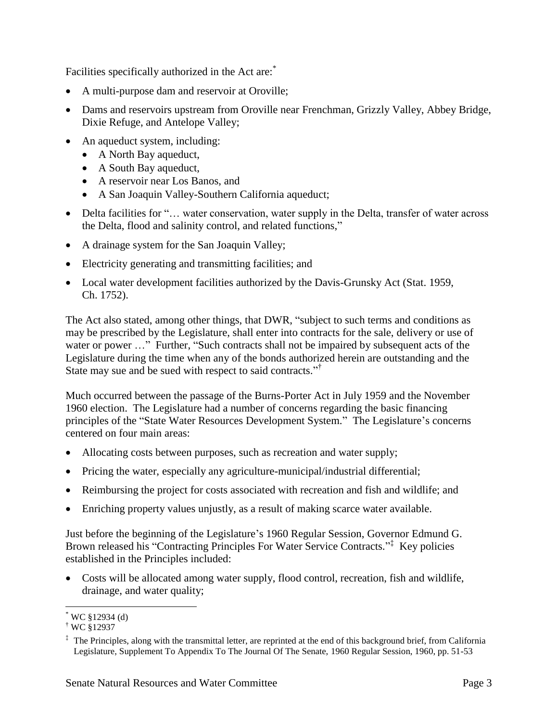Facilities specifically authorized in the Act are:

- A multi-purpose dam and reservoir at Oroville;
- Dams and reservoirs upstream from Oroville near Frenchman, Grizzly Valley, Abbey Bridge, Dixie Refuge, and Antelope Valley;
- An aqueduct system, including:
	- A North Bay aqueduct,
	- A South Bay aqueduct,
	- A reservoir near Los Banos, and
	- A San Joaquin Valley-Southern California aqueduct;
- Delta facilities for "... water conservation, water supply in the Delta, transfer of water across the Delta, flood and salinity control, and related functions,"
- A drainage system for the San Joaquin Valley;
- Electricity generating and transmitting facilities; and
- Local water development facilities authorized by the Davis-Grunsky Act (Stat. 1959, Ch. 1752).

The Act also stated, among other things, that DWR, "subject to such terms and conditions as may be prescribed by the Legislature, shall enter into contracts for the sale, delivery or use of water or power ..." Further, "Such contracts shall not be impaired by subsequent acts of the Legislature during the time when any of the bonds authorized herein are outstanding and the State may sue and be sued with respect to said contracts."<sup>†</sup>

Much occurred between the passage of the Burns-Porter Act in July 1959 and the November 1960 election. The Legislature had a number of concerns regarding the basic financing principles of the "State Water Resources Development System." The Legislature's concerns centered on four main areas:

- Allocating costs between purposes, such as recreation and water supply;
- Pricing the water, especially any agriculture-municipal/industrial differential;
- Reimbursing the project for costs associated with recreation and fish and wildlife; and
- Enriching property values unjustly, as a result of making scarce water available.

Just before the beginning of the Legislature's 1960 Regular Session, Governor Edmund G. Brown released his "Contracting Principles For Water Service Contracts."<sup>‡</sup> Key policies established in the Principles included:

 Costs will be allocated among water supply, flood control, recreation, fish and wildlife, drainage, and water quality;

 $\overline{a}$  $*$  WC §12934 (d)

<sup>†</sup> WC §12937

 $\ddot{\text{ } }$ . The Principles, along with the transmittal letter, are reprinted at the end of this background brief, from California Legislature, Supplement To Appendix To The Journal Of The Senate, 1960 Regular Session, 1960, pp. 51-53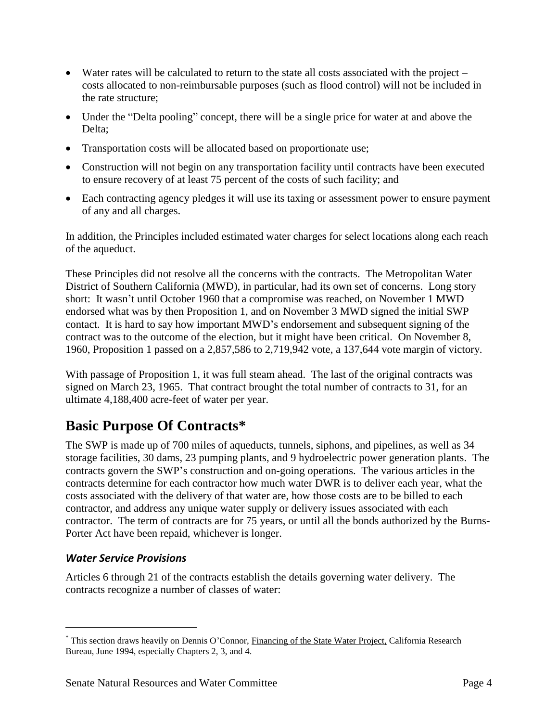- Water rates will be calculated to return to the state all costs associated with the project costs allocated to non-reimbursable purposes (such as flood control) will not be included in the rate structure;
- Under the "Delta pooling" concept, there will be a single price for water at and above the Delta;
- Transportation costs will be allocated based on proportionate use;
- Construction will not begin on any transportation facility until contracts have been executed to ensure recovery of at least 75 percent of the costs of such facility; and
- Each contracting agency pledges it will use its taxing or assessment power to ensure payment of any and all charges.

In addition, the Principles included estimated water charges for select locations along each reach of the aqueduct.

These Principles did not resolve all the concerns with the contracts. The Metropolitan Water District of Southern California (MWD), in particular, had its own set of concerns. Long story short: It wasn't until October 1960 that a compromise was reached, on November 1 MWD endorsed what was by then Proposition 1, and on November 3 MWD signed the initial SWP contact. It is hard to say how important MWD's endorsement and subsequent signing of the contract was to the outcome of the election, but it might have been critical. On November 8, 1960, Proposition 1 passed on a 2,857,586 to 2,719,942 vote, a 137,644 vote margin of victory.

With passage of Proposition 1, it was full steam ahead. The last of the original contracts was signed on March 23, 1965. That contract brought the total number of contracts to 31, for an ultimate 4,188,400 acre-feet of water per year.

# **Basic Purpose Of Contracts\***

The SWP is made up of 700 miles of aqueducts, tunnels, siphons, and pipelines, as well as 34 storage facilities, 30 dams, 23 pumping plants, and 9 hydroelectric power generation plants. The contracts govern the SWP's construction and on-going operations. The various articles in the contracts determine for each contractor how much water DWR is to deliver each year, what the costs associated with the delivery of that water are, how those costs are to be billed to each contractor, and address any unique water supply or delivery issues associated with each contractor. The term of contracts are for 75 years, or until all the bonds authorized by the Burns-Porter Act have been repaid, whichever is longer.

# *Water Service Provisions*

 $\overline{a}$ 

Articles 6 through 21 of the contracts establish the details governing water delivery. The contracts recognize a number of classes of water:

<sup>\*</sup> This section draws heavily on Dennis O'Connor, Financing of the State Water Project, California Research Bureau, June 1994, especially Chapters 2, 3, and 4.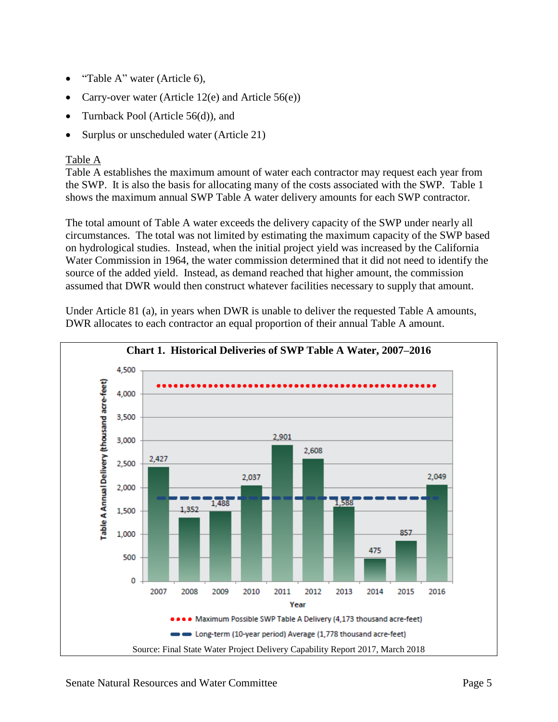- "Table A" water (Article 6),
- Carry-over water (Article 12(e) and Article 56(e))
- Turnback Pool (Article 56(d)), and
- Surplus or unscheduled water (Article 21)

### Table A

Table A establishes the maximum amount of water each contractor may request each year from the SWP. It is also the basis for allocating many of the costs associated with the SWP. Table 1 shows the maximum annual SWP Table A water delivery amounts for each SWP contractor.

The total amount of Table A water exceeds the delivery capacity of the SWP under nearly all circumstances. The total was not limited by estimating the maximum capacity of the SWP based on hydrological studies. Instead, when the initial project yield was increased by the California Water Commission in 1964, the water commission determined that it did not need to identify the source of the added yield. Instead, as demand reached that higher amount, the commission assumed that DWR would then construct whatever facilities necessary to supply that amount.

Under Article 81 (a), in years when DWR is unable to deliver the requested Table A amounts, DWR allocates to each contractor an equal proportion of their annual Table A amount.

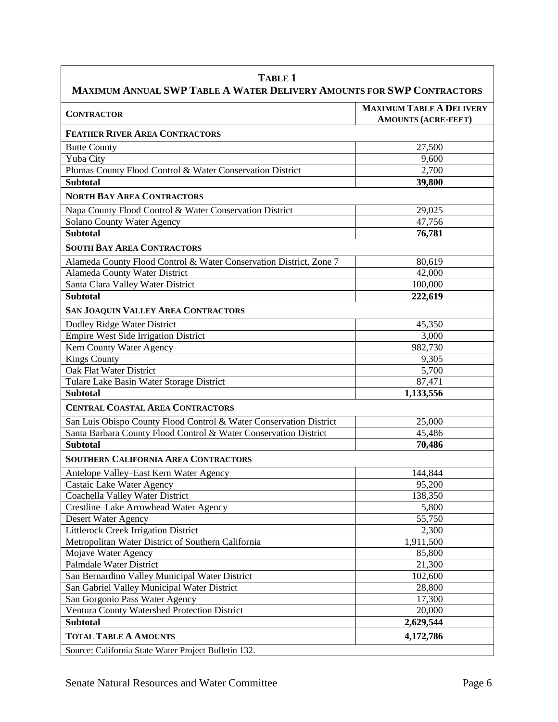| TABLE 1<br>MAXIMUM ANNUAL SWP TABLE A WATER DELIVERY AMOUNTS FOR SWP CONTRACTORS |                                                               |  |  |
|----------------------------------------------------------------------------------|---------------------------------------------------------------|--|--|
| <b>CONTRACTOR</b>                                                                | <b>MAXIMUM TABLE A DELIVERY</b><br><b>AMOUNTS (ACRE-FEET)</b> |  |  |
| <b>FEATHER RIVER AREA CONTRACTORS</b>                                            |                                                               |  |  |
| <b>Butte County</b>                                                              | 27,500                                                        |  |  |
| Yuba City                                                                        | 9,600                                                         |  |  |
| Plumas County Flood Control & Water Conservation District                        | 2,700                                                         |  |  |
| <b>Subtotal</b>                                                                  | 39,800                                                        |  |  |
| <b>NORTH BAY AREA CONTRACTORS</b>                                                |                                                               |  |  |
| Napa County Flood Control & Water Conservation District                          | 29,025                                                        |  |  |
| <b>Solano County Water Agency</b>                                                | 47,756                                                        |  |  |
| <b>Subtotal</b>                                                                  | 76,781                                                        |  |  |
| <b>SOUTH BAY AREA CONTRACTORS</b>                                                |                                                               |  |  |
| Alameda County Flood Control & Water Conservation District, Zone 7               | 80,619                                                        |  |  |
| Alameda County Water District                                                    | 42,000                                                        |  |  |
| Santa Clara Valley Water District                                                | 100,000                                                       |  |  |
| <b>Subtotal</b>                                                                  | 222,619                                                       |  |  |
| <b>SAN JOAQUIN VALLEY AREA CONTRACTORS</b>                                       |                                                               |  |  |
| <b>Dudley Ridge Water District</b>                                               | 45,350                                                        |  |  |
| <b>Empire West Side Irrigation District</b>                                      | 3,000                                                         |  |  |
| Kern County Water Agency                                                         | 982,730                                                       |  |  |
| <b>Kings County</b>                                                              | 9,305                                                         |  |  |
| Oak Flat Water District                                                          | 5,700                                                         |  |  |
| Tulare Lake Basin Water Storage District                                         | 87,471                                                        |  |  |
| <b>Subtotal</b>                                                                  | 1,133,556                                                     |  |  |
| <b>CENTRAL COASTAL AREA CONTRACTORS</b>                                          |                                                               |  |  |
| San Luis Obispo County Flood Control & Water Conservation District               | 25,000                                                        |  |  |
| Santa Barbara County Flood Control & Water Conservation District                 | 45,486                                                        |  |  |
| <b>Subtotal</b>                                                                  | 70,486                                                        |  |  |
| <b>SOUTHERN CALIFORNIA AREA CONTRACTORS</b>                                      |                                                               |  |  |
| Antelope Valley-East Kern Water Agency                                           | 144,844                                                       |  |  |
| Castaic Lake Water Agency                                                        | 95,200                                                        |  |  |
| Coachella Valley Water District                                                  | 138,350                                                       |  |  |
| Crestline-Lake Arrowhead Water Agency                                            | 5,800                                                         |  |  |
| Desert Water Agency                                                              | 55,750                                                        |  |  |
| Littlerock Creek Irrigation District                                             | 2,300                                                         |  |  |
| Metropolitan Water District of Southern California                               | 1,911,500                                                     |  |  |
| Mojave Water Agency                                                              | 85,800                                                        |  |  |
| Palmdale Water District                                                          | 21,300                                                        |  |  |
| San Bernardino Valley Municipal Water District                                   | 102,600                                                       |  |  |
| San Gabriel Valley Municipal Water District                                      | 28,800                                                        |  |  |
| San Gorgonio Pass Water Agency                                                   | 17,300                                                        |  |  |
| Ventura County Watershed Protection District                                     | 20,000                                                        |  |  |
| <b>Subtotal</b>                                                                  | 2,629,544                                                     |  |  |
| <b>TOTAL TABLE A AMOUNTS</b>                                                     | 4,172,786                                                     |  |  |
| Source: California State Water Project Bulletin 132.                             |                                                               |  |  |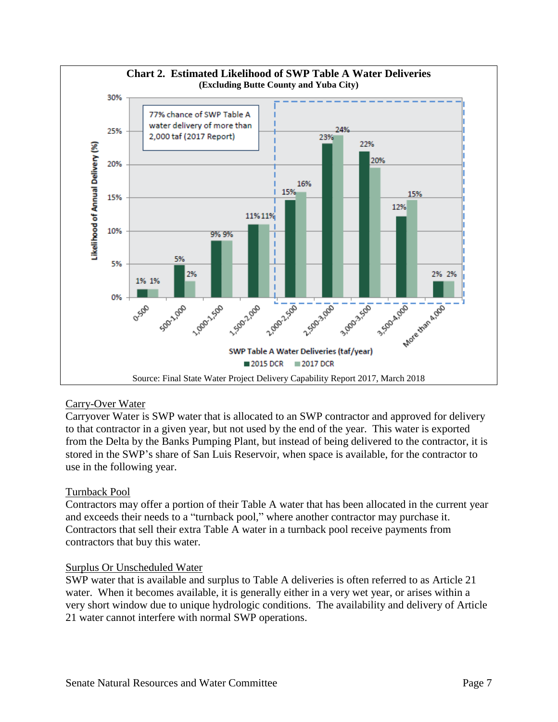

### Carry-Over Water

Carryover Water is SWP water that is allocated to an SWP contractor and approved for delivery to that contractor in a given year, but not used by the end of the year. This water is exported from the Delta by the Banks Pumping Plant, but instead of being delivered to the contractor, it is stored in the SWP's share of San Luis Reservoir, when space is available, for the contractor to use in the following year.

### Turnback Pool

Contractors may offer a portion of their Table A water that has been allocated in the current year and exceeds their needs to a "turnback pool," where another contractor may purchase it. Contractors that sell their extra Table A water in a turnback pool receive payments from contractors that buy this water.

### Surplus Or Unscheduled Water

SWP water that is available and surplus to Table A deliveries is often referred to as Article 21 water. When it becomes available, it is generally either in a very wet year, or arises within a very short window due to unique hydrologic conditions. The availability and delivery of Article 21 water cannot interfere with normal SWP operations.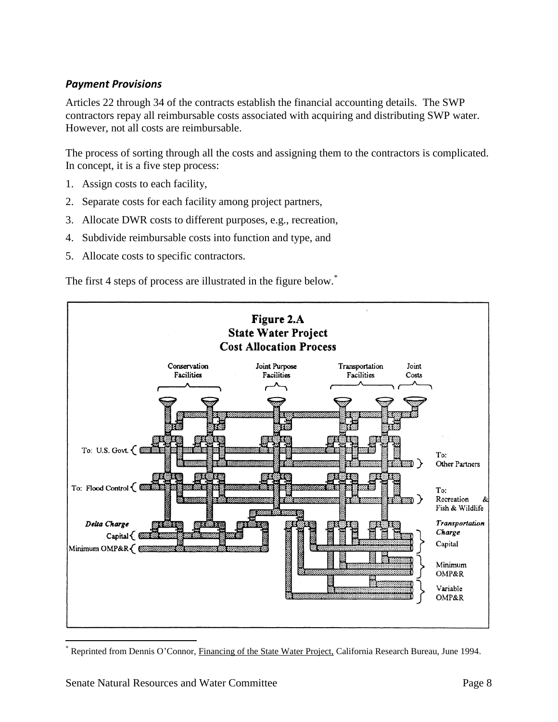## *Payment Provisions*

Articles 22 through 34 of the contracts establish the financial accounting details. The SWP contractors repay all reimbursable costs associated with acquiring and distributing SWP water. However, not all costs are reimbursable.

The process of sorting through all the costs and assigning them to the contractors is complicated. In concept, it is a five step process:

- 1. Assign costs to each facility,
- 2. Separate costs for each facility among project partners,
- 3. Allocate DWR costs to different purposes, e.g., recreation,
- 4. Subdivide reimbursable costs into function and type, and
- 5. Allocate costs to specific contractors.

The first 4 steps of process are illustrated in the figure below.<sup>\*</sup>



Reprinted from Dennis O'Connor, Financing of the State Water Project, California Research Bureau, June 1994.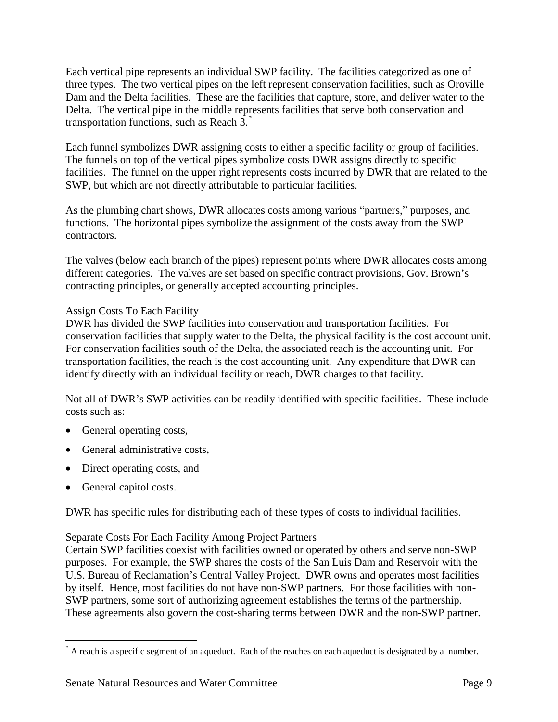Each vertical pipe represents an individual SWP facility. The facilities categorized as one of three types. The two vertical pipes on the left represent conservation facilities, such as Oroville Dam and the Delta facilities. These are the facilities that capture, store, and deliver water to the Delta. The vertical pipe in the middle represents facilities that serve both conservation and transportation functions, such as Reach 3.\*

Each funnel symbolizes DWR assigning costs to either a specific facility or group of facilities. The funnels on top of the vertical pipes symbolize costs DWR assigns directly to specific facilities. The funnel on the upper right represents costs incurred by DWR that are related to the SWP, but which are not directly attributable to particular facilities.

As the plumbing chart shows, DWR allocates costs among various "partners," purposes, and functions. The horizontal pipes symbolize the assignment of the costs away from the SWP contractors.

The valves (below each branch of the pipes) represent points where DWR allocates costs among different categories. The valves are set based on specific contract provisions, Gov. Brown's contracting principles, or generally accepted accounting principles.

### Assign Costs To Each Facility

DWR has divided the SWP facilities into conservation and transportation facilities. For conservation facilities that supply water to the Delta, the physical facility is the cost account unit. For conservation facilities south of the Delta, the associated reach is the accounting unit. For transportation facilities, the reach is the cost accounting unit. Any expenditure that DWR can identify directly with an individual facility or reach, DWR charges to that facility.

Not all of DWR's SWP activities can be readily identified with specific facilities. These include costs such as:

- General operating costs,
- General administrative costs,
- Direct operating costs, and
- General capitol costs.

 $\overline{a}$ 

DWR has specific rules for distributing each of these types of costs to individual facilities.

### Separate Costs For Each Facility Among Project Partners

Certain SWP facilities coexist with facilities owned or operated by others and serve non-SWP purposes. For example, the SWP shares the costs of the San Luis Dam and Reservoir with the U.S. Bureau of Reclamation's Central Valley Project. DWR owns and operates most facilities by itself. Hence, most facilities do not have non-SWP partners. For those facilities with non-SWP partners, some sort of authorizing agreement establishes the terms of the partnership. These agreements also govern the cost-sharing terms between DWR and the non-SWP partner.

<sup>\*</sup> A reach is a specific segment of an aqueduct. Each of the reaches on each aqueduct is designated by a number.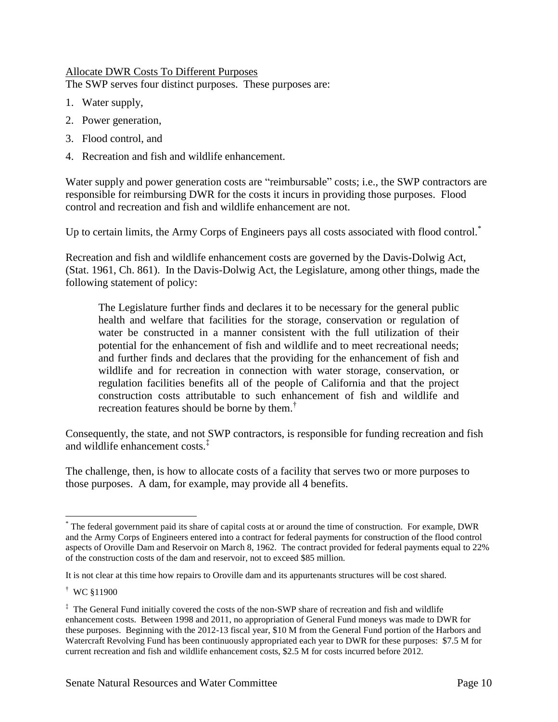### Allocate DWR Costs To Different Purposes

The SWP serves four distinct purposes. These purposes are:

- 1. Water supply,
- 2. Power generation,
- 3. Flood control, and
- 4. Recreation and fish and wildlife enhancement.

Water supply and power generation costs are "reimbursable" costs; i.e., the SWP contractors are responsible for reimbursing DWR for the costs it incurs in providing those purposes. Flood control and recreation and fish and wildlife enhancement are not.

Up to certain limits, the Army Corps of Engineers pays all costs associated with flood control.<sup>\*</sup>

Recreation and fish and wildlife enhancement costs are governed by the Davis-Dolwig Act, (Stat. 1961, Ch. 861). In the Davis-Dolwig Act, the Legislature, among other things, made the following statement of policy:

The Legislature further finds and declares it to be necessary for the general public health and welfare that facilities for the storage, conservation or regulation of water be constructed in a manner consistent with the full utilization of their potential for the enhancement of fish and wildlife and to meet recreational needs; and further finds and declares that the providing for the enhancement of fish and wildlife and for recreation in connection with water storage, conservation, or regulation facilities benefits all of the people of California and that the project construction costs attributable to such enhancement of fish and wildlife and recreation features should be borne by them.<sup>†</sup>

Consequently, the state, and not SWP contractors, is responsible for funding recreation and fish and wildlife enhancement costs.‡

The challenge, then, is how to allocate costs of a facility that serves two or more purposes to those purposes. A dam, for example, may provide all 4 benefits.

† WC §11900

 $\overline{a}$ 

<sup>\*</sup> The federal government paid its share of capital costs at or around the time of construction. For example, DWR and the Army Corps of Engineers entered into a contract for federal payments for construction of the flood control aspects of Oroville Dam and Reservoir on March 8, 1962. The contract provided for federal payments equal to 22% of the construction costs of the dam and reservoir, not to exceed \$85 million.

It is not clear at this time how repairs to Oroville dam and its appurtenants structures will be cost shared.

<sup>‡</sup> The General Fund initially covered the costs of the non-SWP share of recreation and fish and wildlife enhancement costs. Between 1998 and 2011, no appropriation of General Fund moneys was made to DWR for these purposes. Beginning with the 2012-13 fiscal year, \$10 M from the General Fund portion of the Harbors and Watercraft Revolving Fund has been continuously appropriated each year to DWR for these purposes: \$7.5 M for current recreation and fish and wildlife enhancement costs, \$2.5 M for costs incurred before 2012.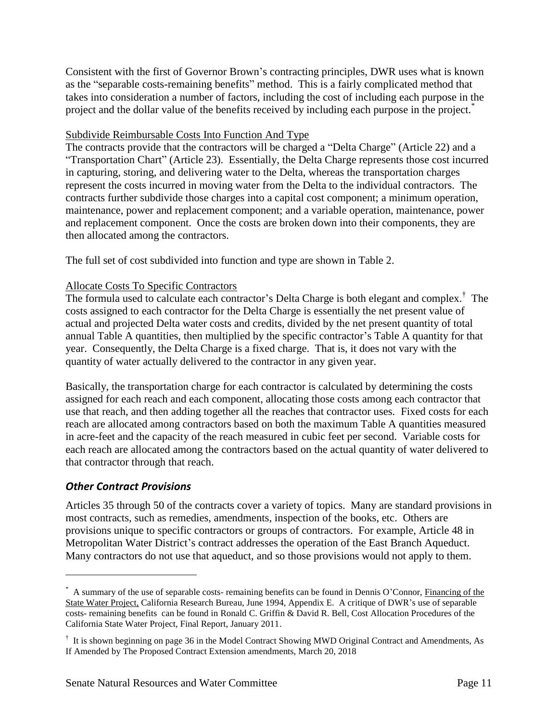Consistent with the first of Governor Brown's contracting principles, DWR uses what is known as the "separable costs-remaining benefits" method. This is a fairly complicated method that takes into consideration a number of factors, including the cost of including each purpose in the project and the dollar value of the benefits received by including each purpose in the project.<sup>\*</sup>

### Subdivide Reimbursable Costs Into Function And Type

The contracts provide that the contractors will be charged a "Delta Charge" (Article 22) and a "Transportation Chart" (Article 23). Essentially, the Delta Charge represents those cost incurred in capturing, storing, and delivering water to the Delta, whereas the transportation charges represent the costs incurred in moving water from the Delta to the individual contractors. The contracts further subdivide those charges into a capital cost component; a minimum operation, maintenance, power and replacement component; and a variable operation, maintenance, power and replacement component. Once the costs are broken down into their components, they are then allocated among the contractors.

The full set of cost subdivided into function and type are shown in Table 2.

### Allocate Costs To Specific Contractors

The formula used to calculate each contractor's Delta Charge is both elegant and complex.<sup>†</sup> The costs assigned to each contractor for the Delta Charge is essentially the net present value of actual and projected Delta water costs and credits, divided by the net present quantity of total annual Table A quantities, then multiplied by the specific contractor's Table A quantity for that year. Consequently, the Delta Charge is a fixed charge. That is, it does not vary with the quantity of water actually delivered to the contractor in any given year.

Basically, the transportation charge for each contractor is calculated by determining the costs assigned for each reach and each component, allocating those costs among each contractor that use that reach, and then adding together all the reaches that contractor uses. Fixed costs for each reach are allocated among contractors based on both the maximum Table A quantities measured in acre-feet and the capacity of the reach measured in cubic feet per second. Variable costs for each reach are allocated among the contractors based on the actual quantity of water delivered to that contractor through that reach.

### *Other Contract Provisions*

 $\overline{a}$ 

Articles 35 through 50 of the contracts cover a variety of topics. Many are standard provisions in most contracts, such as remedies, amendments, inspection of the books, etc. Others are provisions unique to specific contractors or groups of contractors. For example, Article 48 in Metropolitan Water District's contract addresses the operation of the East Branch Aqueduct. Many contractors do not use that aqueduct, and so those provisions would not apply to them.

<sup>\*</sup> A summary of the use of separable costs- remaining benefits can be found in Dennis O'Connor, Financing of the State Water Project, California Research Bureau, June 1994, Appendix E. A critique of DWR's use of separable costs- remaining benefits can be found in Ronald C. Griffin & David R. Bell, Cost Allocation Procedures of the California State Water Project, Final Report, January 2011.

<sup>&</sup>lt;sup>†</sup> It is shown beginning on page 36 in the Model Contract Showing MWD Original Contract and Amendments, As If Amended by The Proposed Contract Extension amendments, March 20, 2018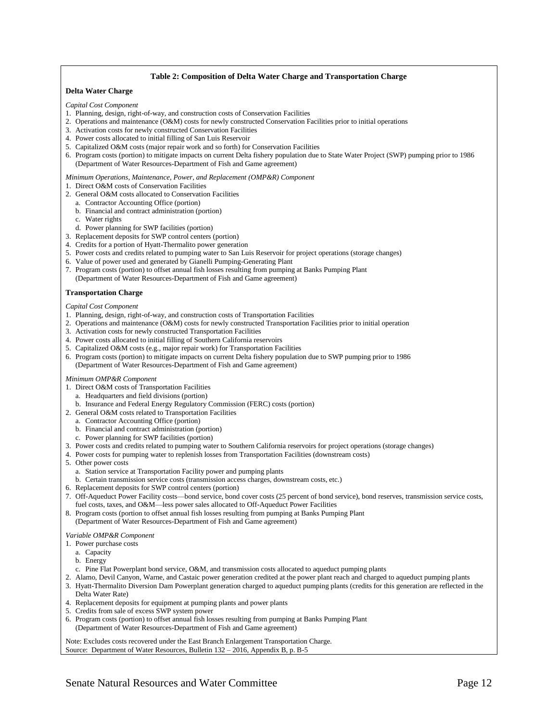#### **Table 2: Composition of Delta Water Charge and Transportation Charge**

### **Delta Water Charge**

*Capital Cost Component*

- 1. Planning, design, right-of-way, and construction costs of Conservation Facilities
- 2. Operations and maintenance (O&M) costs for newly constructed Conservation Facilities prior to initial operations
- 3. Activation costs for newly constructed Conservation Facilities
- 4. Power costs allocated to initial filling of San Luis Reservoir
- 5. Capitalized O&M costs (major repair work and so forth) for Conservation Facilities
- 6. Program costs (portion) to mitigate impacts on current Delta fishery population due to State Water Project (SWP) pumping prior to 1986 (Department of Water Resources-Department of Fish and Game agreement)
- *Minimum Operations, Maintenance, Power, and Replacement (OMP&R) Component*
- 1. Direct O&M costs of Conservation Facilities
- 2. General O&M costs allocated to Conservation Facilities
- a. Contractor Accounting Office (portion)
- b. Financial and contract administration (portion)
- c. Water rights
- d. Power planning for SWP facilities (portion)
- 3. Replacement deposits for SWP control centers (portion)
- 4. Credits for a portion of Hyatt-Thermalito power generation
- 5. Power costs and credits related to pumping water to San Luis Reservoir for project operations (storage changes)
- 6. Value of power used and generated by Gianelli Pumping-Generating Plant
- 7. Program costs (portion) to offset annual fish losses resulting from pumping at Banks Pumping Plant
- (Department of Water Resources-Department of Fish and Game agreement)

#### **Transportation Charge**

#### *Capital Cost Component*

- 1. Planning, design, right-of-way, and construction costs of Transportation Facilities
- 2. Operations and maintenance (O&M) costs for newly constructed Transportation Facilities prior to initial operation
- 3. Activation costs for newly constructed Transportation Facilities
- 4. Power costs allocated to initial filling of Southern California reservoirs
- 5. Capitalized O&M costs (e.g., major repair work) for Transportation Facilities
- 6. Program costs (portion) to mitigate impacts on current Delta fishery population due to SWP pumping prior to 1986
	- (Department of Water Resources-Department of Fish and Game agreement)

#### *Minimum OMP&R Component*

- 1. Direct O&M costs of Transportation Facilities
	- a. Headquarters and field divisions (portion)
	- b. Insurance and Federal Energy Regulatory Commission (FERC) costs (portion)
- 2. General O&M costs related to Transportation Facilities
	- a. Contractor Accounting Office (portion)
	- b. Financial and contract administration (portion)
	- c. Power planning for SWP facilities (portion)
- 3. Power costs and credits related to pumping water to Southern California reservoirs for project operations (storage changes)
- 4. Power costs for pumping water to replenish losses from Transportation Facilities (downstream costs)
- 5. Other power costs
	- a. Station service at Transportation Facility power and pumping plants
- b. Certain transmission service costs (transmission access charges, downstream costs, etc.)
- 6. Replacement deposits for SWP control centers (portion)
- 7. Off-Aqueduct Power Facility costs—bond service, bond cover costs (25 percent of bond service), bond reserves, transmission service costs, fuel costs, taxes, and O&M-less power sales allocated to Off-Aqueduct Power Facilities
- 8. Program costs (portion to offset annual fish losses resulting from pumping at Banks Pumping Plant (Department of Water Resources-Department of Fish and Game agreement)

#### *Variable OMP&R Component*

- 1. Power purchase costs
	- a. Capacity
	- b. Energy
- c. Pine Flat Powerplant bond service, O&M, and transmission costs allocated to aqueduct pumping plants
- 2. Alamo, Devil Canyon, Warne, and Castaic power generation credited at the power plant reach and charged to aqueduct pumping plants
- 3. Hyatt-Thermalito Diversion Dam Powerplant generation charged to aqueduct pumping plants (credits for this generation are reflected in the Delta Water Rate)
- 4. Replacement deposits for equipment at pumping plants and power plants
- 5. Credits from sale of excess SWP system power
- 6. Program costs (portion) to offset annual fish losses resulting from pumping at Banks Pumping Plant (Department of Water Resources-Department of Fish and Game agreement)

Note: Excludes costs recovered under the East Branch Enlargement Transportation Charge. Source: Department of Water Resources, Bulletin 132 – 2016, Appendix B, p. B-5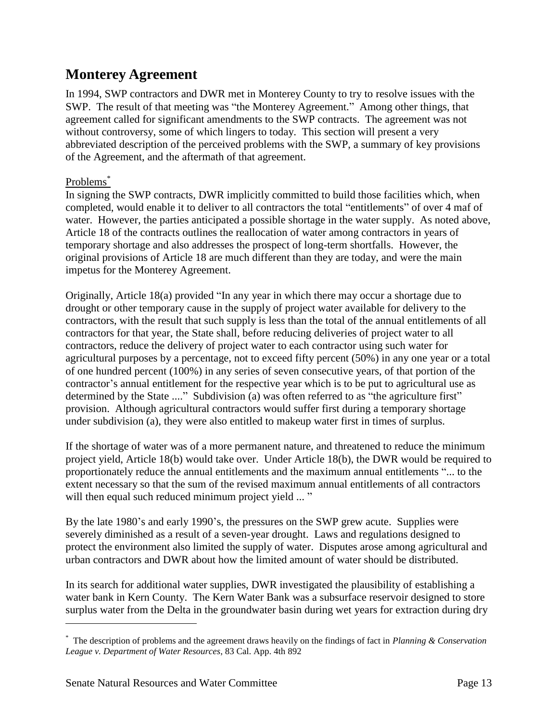# **Monterey Agreement**

In 1994, SWP contractors and DWR met in Monterey County to try to resolve issues with the SWP. The result of that meeting was "the Monterey Agreement." Among other things, that agreement called for significant amendments to the SWP contracts. The agreement was not without controversy, some of which lingers to today. This section will present a very abbreviated description of the perceived problems with the SWP, a summary of key provisions of the Agreement, and the aftermath of that agreement.

## Problems<sup>\*</sup>

 $\overline{a}$ 

In signing the SWP contracts, DWR implicitly committed to build those facilities which, when completed, would enable it to deliver to all contractors the total "entitlements" of over 4 maf of water. However, the parties anticipated a possible shortage in the water supply. As noted above, Article 18 of the contracts outlines the reallocation of water among contractors in years of temporary shortage and also addresses the prospect of long-term shortfalls. However, the original provisions of Article 18 are much different than they are today, and were the main impetus for the Monterey Agreement.

Originally, Article 18(a) provided "In any year in which there may occur a shortage due to drought or other temporary cause in the supply of project water available for delivery to the contractors, with the result that such supply is less than the total of the annual entitlements of all contractors for that year, the State shall, before reducing deliveries of project water to all contractors, reduce the delivery of project water to each contractor using such water for agricultural purposes by a percentage, not to exceed fifty percent (50%) in any one year or a total of one hundred percent (100%) in any series of seven consecutive years, of that portion of the contractor's annual entitlement for the respective year which is to be put to agricultural use as determined by the State ...." Subdivision (a) was often referred to as "the agriculture first" provision. Although agricultural contractors would suffer first during a temporary shortage under subdivision (a), they were also entitled to makeup water first in times of surplus.

If the shortage of water was of a more permanent nature, and threatened to reduce the minimum project yield, Article 18(b) would take over. Under Article 18(b), the DWR would be required to proportionately reduce the annual entitlements and the maximum annual entitlements "... to the extent necessary so that the sum of the revised maximum annual entitlements of all contractors will then equal such reduced minimum project yield ... "

By the late 1980's and early 1990's, the pressures on the SWP grew acute. Supplies were severely diminished as a result of a seven-year drought. Laws and regulations designed to protect the environment also limited the supply of water. Disputes arose among agricultural and urban contractors and DWR about how the limited amount of water should be distributed.

In its search for additional water supplies, DWR investigated the plausibility of establishing a water bank in Kern County. The Kern Water Bank was a subsurface reservoir designed to store surplus water from the Delta in the groundwater basin during wet years for extraction during dry

<sup>\*</sup> The description of problems and the agreement draws heavily on the findings of fact in *Planning & Conservation League v. Department of Water Resources*, 83 Cal. App. 4th 892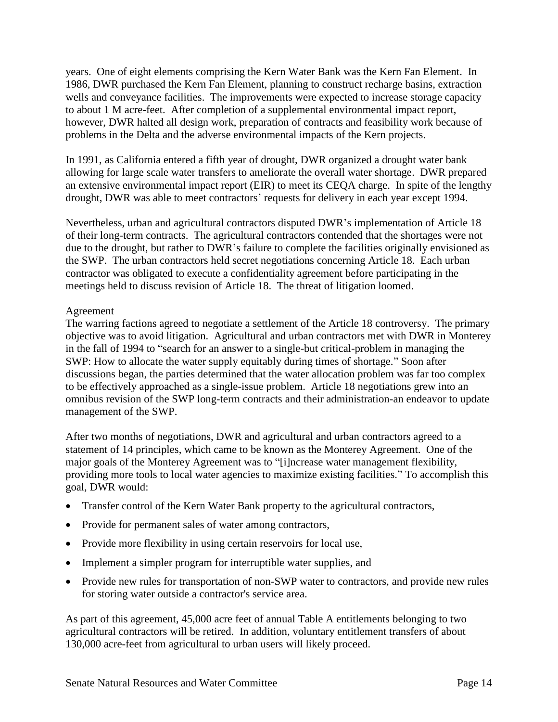years. One of eight elements comprising the Kern Water Bank was the Kern Fan Element. In 1986, DWR purchased the Kern Fan Element, planning to construct recharge basins, extraction wells and conveyance facilities. The improvements were expected to increase storage capacity to about 1 M acre-feet. After completion of a supplemental environmental impact report, however, DWR halted all design work, preparation of contracts and feasibility work because of problems in the Delta and the adverse environmental impacts of the Kern projects.

In 1991, as California entered a fifth year of drought, DWR organized a drought water bank allowing for large scale water transfers to ameliorate the overall water shortage. DWR prepared an extensive environmental impact report (EIR) to meet its CEQA charge. In spite of the lengthy drought, DWR was able to meet contractors' requests for delivery in each year except 1994.

Nevertheless, urban and agricultural contractors disputed DWR's implementation of Article 18 of their long-term contracts. The agricultural contractors contended that the shortages were not due to the drought, but rather to DWR's failure to complete the facilities originally envisioned as the SWP. The urban contractors held secret negotiations concerning Article 18. Each urban contractor was obligated to execute a confidentiality agreement before participating in the meetings held to discuss revision of Article 18. The threat of litigation loomed.

### **Agreement**

The warring factions agreed to negotiate a settlement of the Article 18 controversy. The primary objective was to avoid litigation. Agricultural and urban contractors met with DWR in Monterey in the fall of 1994 to "search for an answer to a single-but critical-problem in managing the SWP: How to allocate the water supply equitably during times of shortage." Soon after discussions began, the parties determined that the water allocation problem was far too complex to be effectively approached as a single-issue problem. Article 18 negotiations grew into an omnibus revision of the SWP long-term contracts and their administration-an endeavor to update management of the SWP.

After two months of negotiations, DWR and agricultural and urban contractors agreed to a statement of 14 principles, which came to be known as the Monterey Agreement. One of the major goals of the Monterey Agreement was to "[i]ncrease water management flexibility, providing more tools to local water agencies to maximize existing facilities." To accomplish this goal, DWR would:

- Transfer control of the Kern Water Bank property to the agricultural contractors,
- Provide for permanent sales of water among contractors,
- Provide more flexibility in using certain reservoirs for local use,
- Implement a simpler program for interruptible water supplies, and
- Provide new rules for transportation of non-SWP water to contractors, and provide new rules for storing water outside a contractor's service area.

As part of this agreement, 45,000 acre feet of annual Table A entitlements belonging to two agricultural contractors will be retired. In addition, voluntary entitlement transfers of about 130,000 acre-feet from agricultural to urban users will likely proceed.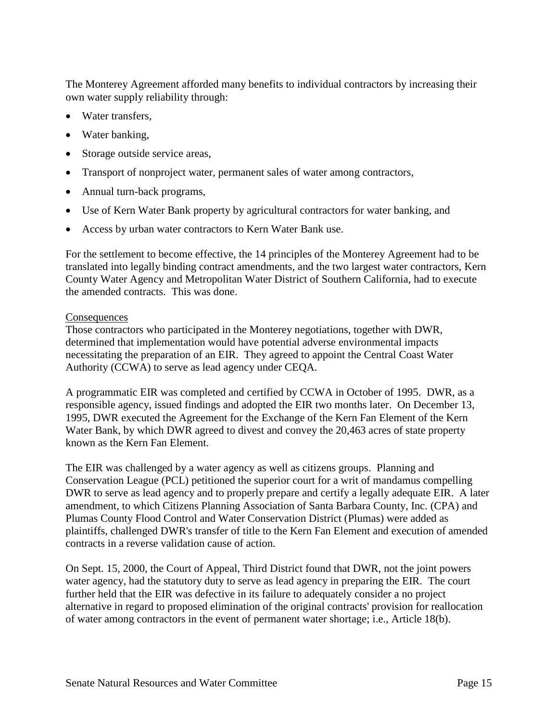The Monterey Agreement afforded many benefits to individual contractors by increasing their own water supply reliability through:

- Water transfers,
- Water banking,
- Storage outside service areas,
- Transport of nonproject water, permanent sales of water among contractors,
- Annual turn-back programs,
- Use of Kern Water Bank property by agricultural contractors for water banking, and
- Access by urban water contractors to Kern Water Bank use.

For the settlement to become effective, the 14 principles of the Monterey Agreement had to be translated into legally binding contract amendments, and the two largest water contractors, Kern County Water Agency and Metropolitan Water District of Southern California, had to execute the amended contracts. This was done.

### **Consequences**

Those contractors who participated in the Monterey negotiations, together with DWR, determined that implementation would have potential adverse environmental impacts necessitating the preparation of an EIR. They agreed to appoint the Central Coast Water Authority (CCWA) to serve as lead agency under CEQA.

A programmatic EIR was completed and certified by CCWA in October of 1995. DWR, as a responsible agency, issued findings and adopted the EIR two months later. On December 13, 1995, DWR executed the Agreement for the Exchange of the Kern Fan Element of the Kern Water Bank, by which DWR agreed to divest and convey the 20,463 acres of state property known as the Kern Fan Element.

The EIR was challenged by a water agency as well as citizens groups. Planning and Conservation League (PCL) petitioned the superior court for a writ of mandamus compelling DWR to serve as lead agency and to properly prepare and certify a legally adequate EIR. A later amendment, to which Citizens Planning Association of Santa Barbara County, Inc. (CPA) and Plumas County Flood Control and Water Conservation District (Plumas) were added as plaintiffs, challenged DWR's transfer of title to the Kern Fan Element and execution of amended contracts in a reverse validation cause of action.

On Sept. 15, 2000, the Court of Appeal, Third District found that DWR, not the joint powers water agency, had the statutory duty to serve as lead agency in preparing the EIR. The court further held that the EIR was defective in its failure to adequately consider a no project alternative in regard to proposed elimination of the original contracts' provision for reallocation of water among contractors in the event of permanent water shortage; i.e., Article 18(b).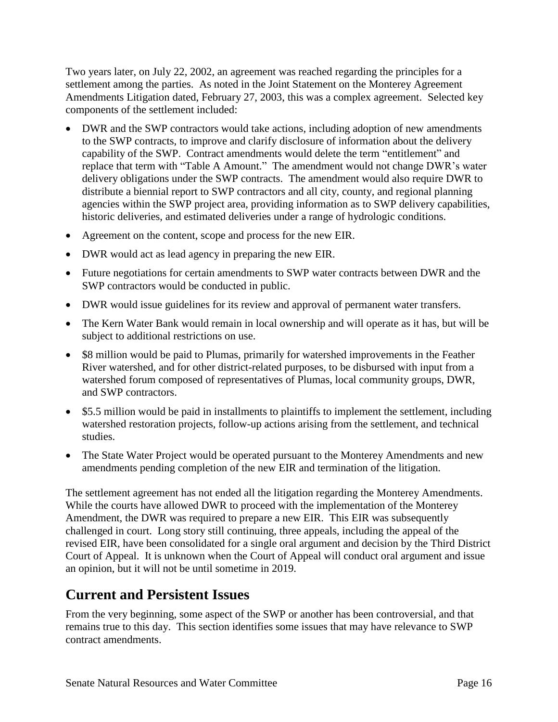Two years later, on July 22, 2002, an agreement was reached regarding the principles for a settlement among the parties. As noted in the Joint Statement on the Monterey Agreement Amendments Litigation dated, February 27, 2003, this was a complex agreement. Selected key components of the settlement included:

- DWR and the SWP contractors would take actions, including adoption of new amendments to the SWP contracts, to improve and clarify disclosure of information about the delivery capability of the SWP. Contract amendments would delete the term "entitlement" and replace that term with "Table A Amount." The amendment would not change DWR's water delivery obligations under the SWP contracts. The amendment would also require DWR to distribute a biennial report to SWP contractors and all city, county, and regional planning agencies within the SWP project area, providing information as to SWP delivery capabilities, historic deliveries, and estimated deliveries under a range of hydrologic conditions.
- Agreement on the content, scope and process for the new EIR.
- DWR would act as lead agency in preparing the new EIR.
- Future negotiations for certain amendments to SWP water contracts between DWR and the SWP contractors would be conducted in public.
- DWR would issue guidelines for its review and approval of permanent water transfers.
- The Kern Water Bank would remain in local ownership and will operate as it has, but will be subject to additional restrictions on use.
- \$8 million would be paid to Plumas, primarily for watershed improvements in the Feather River watershed, and for other district-related purposes, to be disbursed with input from a watershed forum composed of representatives of Plumas, local community groups, DWR, and SWP contractors.
- \$5.5 million would be paid in installments to plaintiffs to implement the settlement, including watershed restoration projects, follow-up actions arising from the settlement, and technical studies.
- The State Water Project would be operated pursuant to the Monterey Amendments and new amendments pending completion of the new EIR and termination of the litigation.

The settlement agreement has not ended all the litigation regarding the Monterey Amendments. While the courts have allowed DWR to proceed with the implementation of the Monterey Amendment, the DWR was required to prepare a new EIR. This EIR was subsequently challenged in court. Long story still continuing, three appeals, including the appeal of the revised EIR, have been consolidated for a single oral argument and decision by the Third District Court of Appeal. It is unknown when the Court of Appeal will conduct oral argument and issue an opinion, but it will not be until sometime in 2019.

# **Current and Persistent Issues**

From the very beginning, some aspect of the SWP or another has been controversial, and that remains true to this day. This section identifies some issues that may have relevance to SWP contract amendments.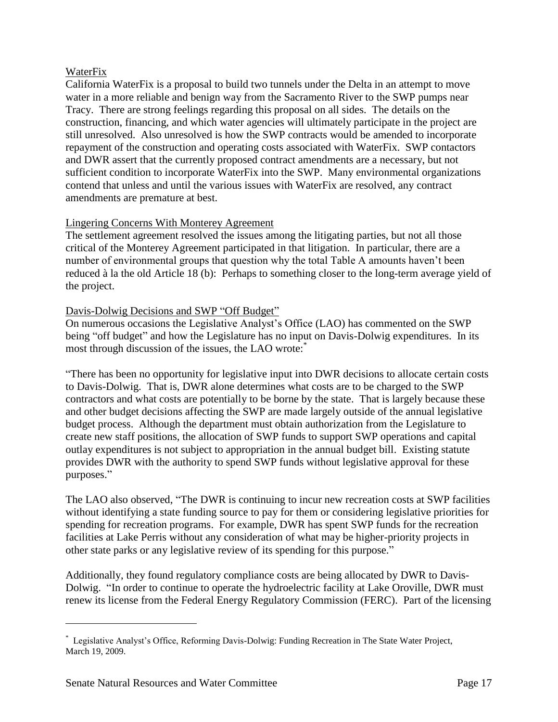### WaterFix

California WaterFix is a proposal to build two tunnels under the Delta in an attempt to move water in a more reliable and benign way from the Sacramento River to the SWP pumps near Tracy. There are strong feelings regarding this proposal on all sides. The details on the construction, financing, and which water agencies will ultimately participate in the project are still unresolved. Also unresolved is how the SWP contracts would be amended to incorporate repayment of the construction and operating costs associated with WaterFix. SWP contactors and DWR assert that the currently proposed contract amendments are a necessary, but not sufficient condition to incorporate WaterFix into the SWP. Many environmental organizations contend that unless and until the various issues with WaterFix are resolved, any contract amendments are premature at best.

### Lingering Concerns With Monterey Agreement

The settlement agreement resolved the issues among the litigating parties, but not all those critical of the Monterey Agreement participated in that litigation. In particular, there are a number of environmental groups that question why the total Table A amounts haven't been reduced à la the old Article 18 (b): Perhaps to something closer to the long-term average yield of the project.

### Davis-Dolwig Decisions and SWP "Off Budget"

On numerous occasions the Legislative Analyst's Office (LAO) has commented on the SWP being "off budget" and how the Legislature has no input on Davis-Dolwig expenditures. In its most through discussion of the issues, the LAO wrote:

"There has been no opportunity for legislative input into DWR decisions to allocate certain costs to Davis-Dolwig. That is, DWR alone determines what costs are to be charged to the SWP contractors and what costs are potentially to be borne by the state. That is largely because these and other budget decisions affecting the SWP are made largely outside of the annual legislative budget process. Although the department must obtain authorization from the Legislature to create new staff positions, the allocation of SWP funds to support SWP operations and capital outlay expenditures is not subject to appropriation in the annual budget bill. Existing statute provides DWR with the authority to spend SWP funds without legislative approval for these purposes."

The LAO also observed, "The DWR is continuing to incur new recreation costs at SWP facilities without identifying a state funding source to pay for them or considering legislative priorities for spending for recreation programs. For example, DWR has spent SWP funds for the recreation facilities at Lake Perris without any consideration of what may be higher-priority projects in other state parks or any legislative review of its spending for this purpose."

Additionally, they found regulatory compliance costs are being allocated by DWR to Davis-Dolwig. "In order to continue to operate the hydroelectric facility at Lake Oroville, DWR must renew its license from the Federal Energy Regulatory Commission (FERC). Part of the licensing

 $\overline{a}$ 

<sup>\*</sup> Legislative Analyst's Office, Reforming Davis-Dolwig: Funding Recreation in The State Water Project, March 19, 2009.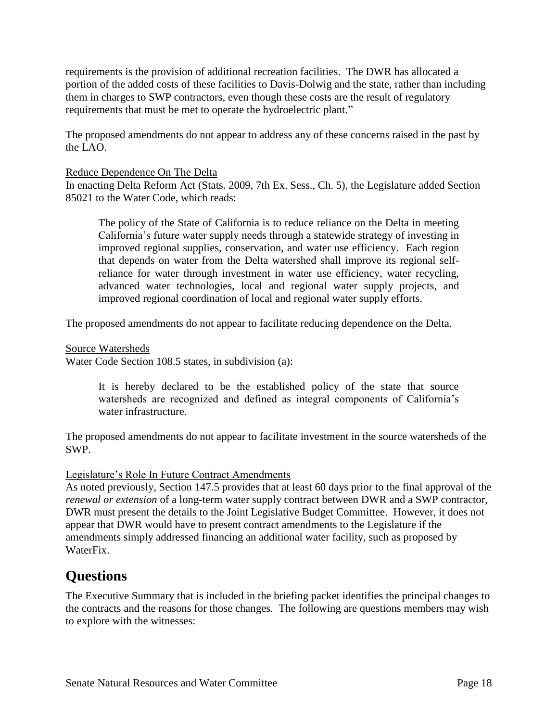requirements is the provision of additional recreation facilities. The DWR has allocated a portion of the added costs of these facilities to Davis-Dolwig and the state, rather than including them in charges to SWP contractors, even though these costs are the result of regulatory requirements that must be met to operate the hydroelectric plant."

The proposed amendments do not appear to address any of these concerns raised in the past by the LAO.

### Reduce Dependence On The Delta

In enacting Delta Reform Act (Stats. 2009, 7th Ex. Sess., Ch. 5), the Legislature added Section 85021 to the Water Code, which reads:

The policy of the State of California is to reduce reliance on the Delta in meeting California's future water supply needs through a statewide strategy of investing in improved regional supplies, conservation, and water use efficiency. Each region that depends on water from the Delta watershed shall improve its regional selfreliance for water through investment in water use efficiency, water recycling, advanced water technologies, local and regional water supply projects, and improved regional coordination of local and regional water supply efforts.

The proposed amendments do not appear to facilitate reducing dependence on the Delta.

Source Watersheds

Water Code Section 108.5 states, in subdivision (a):

It is hereby declared to be the established policy of the state that source watersheds are recognized and defined as integral components of California's water infrastructure.

The proposed amendments do not appear to facilitate investment in the source watersheds of the SWP.

### Legislature's Role In Future Contract Amendments

As noted previously, Section 147.5 provides that at least 60 days prior to the final approval of the *renewal or extension* of a long-term water supply contract between DWR and a SWP contractor, DWR must present the details to the Joint Legislative Budget Committee. However, it does not appear that DWR would have to present contract amendments to the Legislature if the amendments simply addressed financing an additional water facility, such as proposed by WaterFix.

# **Questions**

The Executive Summary that is included in the briefing packet identifies the principal changes to the contracts and the reasons for those changes. The following are questions members may wish to explore with the witnesses: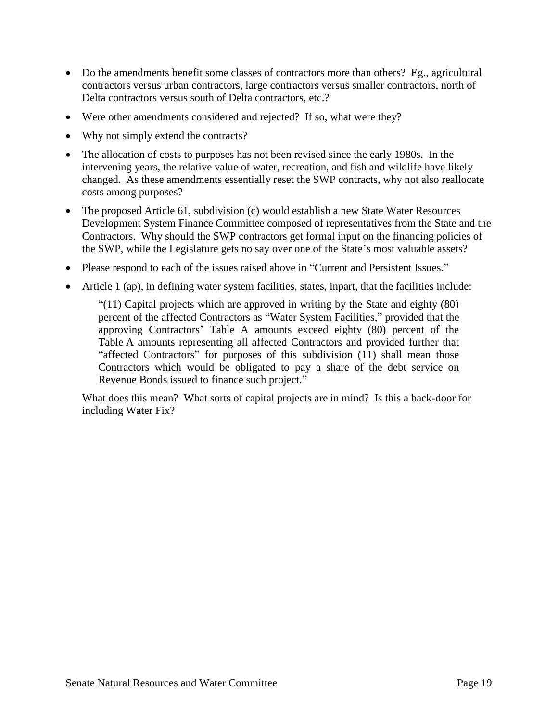- Do the amendments benefit some classes of contractors more than others? Eg., agricultural contractors versus urban contractors, large contractors versus smaller contractors, north of Delta contractors versus south of Delta contractors, etc.?
- Were other amendments considered and rejected? If so, what were they?
- Why not simply extend the contracts?
- The allocation of costs to purposes has not been revised since the early 1980s. In the intervening years, the relative value of water, recreation, and fish and wildlife have likely changed. As these amendments essentially reset the SWP contracts, why not also reallocate costs among purposes?
- The proposed Article 61, subdivision (c) would establish a new State Water Resources Development System Finance Committee composed of representatives from the State and the Contractors. Why should the SWP contractors get formal input on the financing policies of the SWP, while the Legislature gets no say over one of the State's most valuable assets?
- Please respond to each of the issues raised above in "Current and Persistent Issues."
- Article 1 (ap), in defining water system facilities, states, inpart, that the facilities include:

"(11) Capital projects which are approved in writing by the State and eighty (80) percent of the affected Contractors as "Water System Facilities," provided that the approving Contractors' Table A amounts exceed eighty (80) percent of the Table A amounts representing all affected Contractors and provided further that "affected Contractors" for purposes of this subdivision (11) shall mean those Contractors which would be obligated to pay a share of the debt service on Revenue Bonds issued to finance such project."

What does this mean? What sorts of capital projects are in mind? Is this a back-door for including Water Fix?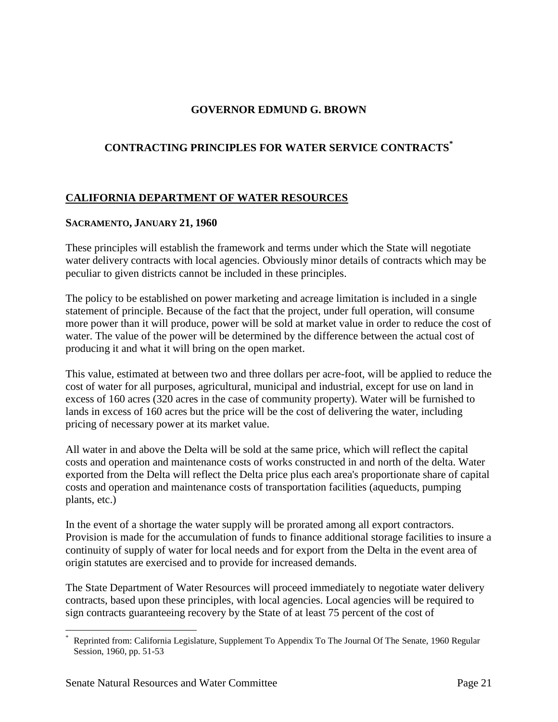## **GOVERNOR EDMUND G. BROWN**

# **CONTRACTING PRINCIPLES FOR WATER SERVICE CONTRACTS\***

### **CALIFORNIA DEPARTMENT OF WATER RESOURCES**

### **SACRAMENTO, JANUARY 21, 1960**

These principles will establish the framework and terms under which the State will negotiate water delivery contracts with local agencies. Obviously minor details of contracts which may be peculiar to given districts cannot be included in these principles.

The policy to be established on power marketing and acreage limitation is included in a single statement of principle. Because of the fact that the project, under full operation, will consume more power than it will produce, power will be sold at market value in order to reduce the cost of water. The value of the power will be determined by the difference between the actual cost of producing it and what it will bring on the open market.

This value, estimated at between two and three dollars per acre-foot, will be applied to reduce the cost of water for all purposes, agricultural, municipal and industrial, except for use on land in excess of 160 acres (320 acres in the case of community property). Water will be furnished to lands in excess of 160 acres but the price will be the cost of delivering the water, including pricing of necessary power at its market value.

All water in and above the Delta will be sold at the same price, which will reflect the capital costs and operation and maintenance costs of works constructed in and north of the delta. Water exported from the Delta will reflect the Delta price plus each area's proportionate share of capital costs and operation and maintenance costs of transportation facilities (aqueducts, pumping plants, etc.)

In the event of a shortage the water supply will be prorated among all export contractors. Provision is made for the accumulation of funds to finance additional storage facilities to insure a continuity of supply of water for local needs and for export from the Delta in the event area of origin statutes are exercised and to provide for increased demands.

The State Department of Water Resources will proceed immediately to negotiate water delivery contracts, based upon these principles, with local agencies. Local agencies will be required to sign contracts guaranteeing recovery by the State of at least 75 percent of the cost of

 $\overline{a}$ \* Reprinted from: California Legislature, Supplement To Appendix To The Journal Of The Senate, 1960 Regular Session, 1960, pp. 51-53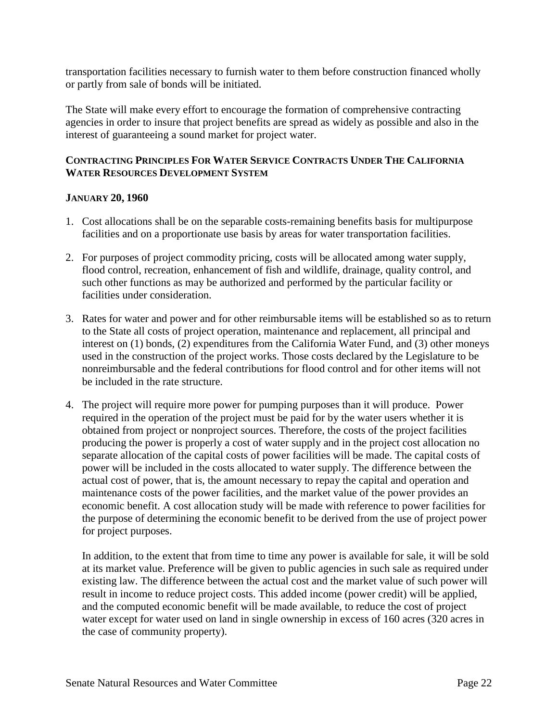transportation facilities necessary to furnish water to them before construction financed wholly or partly from sale of bonds will be initiated.

The State will make every effort to encourage the formation of comprehensive contracting agencies in order to insure that project benefits are spread as widely as possible and also in the interest of guaranteeing a sound market for project water.

### **CONTRACTING PRINCIPLES FOR WATER SERVICE CONTRACTS UNDER THE CALIFORNIA WATER RESOURCES DEVELOPMENT SYSTEM**

### **JANUARY 20, 1960**

- 1. Cost allocations shall be on the separable costs-remaining benefits basis for multipurpose facilities and on a proportionate use basis by areas for water transportation facilities.
- 2. For purposes of project commodity pricing, costs will be allocated among water supply, flood control, recreation, enhancement of fish and wildlife, drainage, quality control, and such other functions as may be authorized and performed by the particular facility or facilities under consideration.
- 3. Rates for water and power and for other reimbursable items will be established so as to return to the State all costs of project operation, maintenance and replacement, all principal and interest on (1) bonds, (2) expenditures from the California Water Fund, and (3) other moneys used in the construction of the project works. Those costs declared by the Legislature to be nonreimbursable and the federal contributions for flood control and for other items will not be included in the rate structure.
- 4. The project will require more power for pumping purposes than it will produce. Power required in the operation of the project must be paid for by the water users whether it is obtained from project or nonproject sources. Therefore, the costs of the project facilities producing the power is properly a cost of water supply and in the project cost allocation no separate allocation of the capital costs of power facilities will be made. The capital costs of power will be included in the costs allocated to water supply. The difference between the actual cost of power, that is, the amount necessary to repay the capital and operation and maintenance costs of the power facilities, and the market value of the power provides an economic benefit. A cost allocation study will be made with reference to power facilities for the purpose of determining the economic benefit to be derived from the use of project power for project purposes.

In addition, to the extent that from time to time any power is available for sale, it will be sold at its market value. Preference will be given to public agencies in such sale as required under existing law. The difference between the actual cost and the market value of such power will result in income to reduce project costs. This added income (power credit) will be applied, and the computed economic benefit will be made available, to reduce the cost of project water except for water used on land in single ownership in excess of 160 acres (320 acres in the case of community property).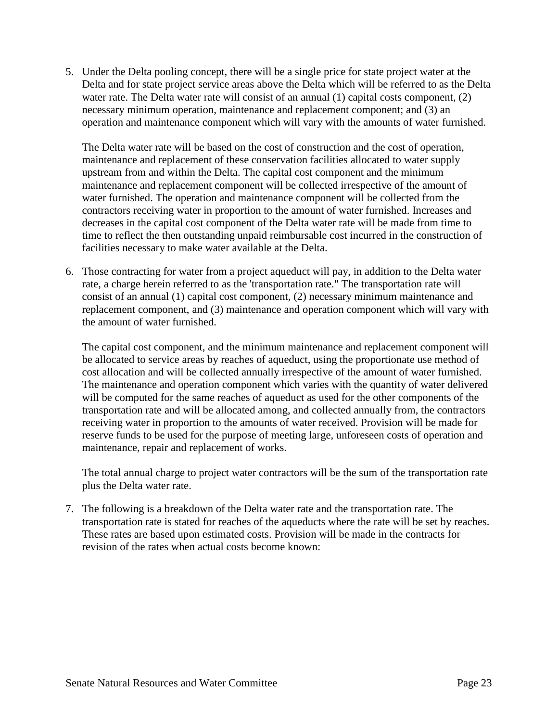5. Under the Delta pooling concept, there will be a single price for state project water at the Delta and for state project service areas above the Delta which will be referred to as the Delta water rate. The Delta water rate will consist of an annual (1) capital costs component, (2) necessary minimum operation, maintenance and replacement component; and (3) an operation and maintenance component which will vary with the amounts of water furnished.

The Delta water rate will be based on the cost of construction and the cost of operation, maintenance and replacement of these conservation facilities allocated to water supply upstream from and within the Delta. The capital cost component and the minimum maintenance and replacement component will be collected irrespective of the amount of water furnished. The operation and maintenance component will be collected from the contractors receiving water in proportion to the amount of water furnished. Increases and decreases in the capital cost component of the Delta water rate will be made from time to time to reflect the then outstanding unpaid reimbursable cost incurred in the construction of facilities necessary to make water available at the Delta.

6. Those contracting for water from a project aqueduct will pay, in addition to the Delta water rate, a charge herein referred to as the 'transportation rate." The transportation rate will consist of an annual (1) capital cost component, (2) necessary minimum maintenance and replacement component, and (3) maintenance and operation component which will vary with the amount of water furnished.

The capital cost component, and the minimum maintenance and replacement component will be allocated to service areas by reaches of aqueduct, using the proportionate use method of cost allocation and will be collected annually irrespective of the amount of water furnished. The maintenance and operation component which varies with the quantity of water delivered will be computed for the same reaches of aqueduct as used for the other components of the transportation rate and will be allocated among, and collected annually from, the contractors receiving water in proportion to the amounts of water received. Provision will be made for reserve funds to be used for the purpose of meeting large, unforeseen costs of operation and maintenance, repair and replacement of works.

The total annual charge to project water contractors will be the sum of the transportation rate plus the Delta water rate.

7. The following is a breakdown of the Delta water rate and the transportation rate. The transportation rate is stated for reaches of the aqueducts where the rate will be set by reaches. These rates are based upon estimated costs. Provision will be made in the contracts for revision of the rates when actual costs become known: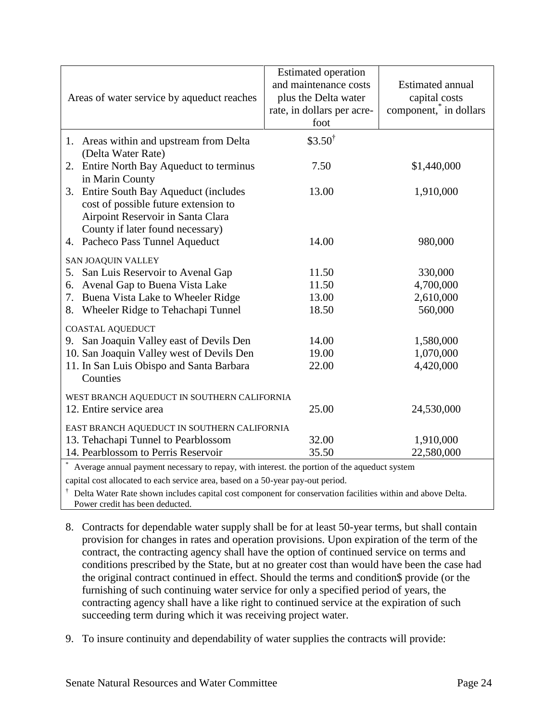| Areas of water service by aqueduct reaches                                                                                                                                                                                                 | <b>Estimated operation</b><br>and maintenance costs<br>plus the Delta water<br>rate, in dollars per acre-<br>foot | <b>Estimated annual</b><br>capital costs<br>component, in dollars |
|--------------------------------------------------------------------------------------------------------------------------------------------------------------------------------------------------------------------------------------------|-------------------------------------------------------------------------------------------------------------------|-------------------------------------------------------------------|
| 1. Areas within and upstream from Delta                                                                                                                                                                                                    | \$3.50 <sup>†</sup>                                                                                               |                                                                   |
| (Delta Water Rate)<br>Entire North Bay Aqueduct to terminus<br>2.<br>in Marin County                                                                                                                                                       | 7.50                                                                                                              | \$1,440,000                                                       |
| Entire South Bay Aqueduct (includes<br>3.<br>cost of possible future extension to<br>Airpoint Reservoir in Santa Clara<br>County if later found necessary)                                                                                 | 13.00                                                                                                             | 1,910,000                                                         |
| 4. Pacheco Pass Tunnel Aqueduct                                                                                                                                                                                                            | 14.00                                                                                                             | 980,000                                                           |
| SAN JOAQUIN VALLEY<br>5. San Luis Reservoir to Avenal Gap<br>Avenal Gap to Buena Vista Lake<br>6.<br>7. Buena Vista Lake to Wheeler Ridge<br>Wheeler Ridge to Tehachapi Tunnel<br>8.                                                       | 11.50<br>11.50<br>13.00<br>18.50                                                                                  | 330,000<br>4,700,000<br>2,610,000<br>560,000                      |
| <b>COASTAL AQUEDUCT</b><br>9. San Joaquin Valley east of Devils Den<br>10. San Joaquin Valley west of Devils Den<br>11. In San Luis Obispo and Santa Barbara<br>Counties                                                                   | 14.00<br>19.00<br>22.00                                                                                           | 1,580,000<br>1,070,000<br>4,420,000                               |
| WEST BRANCH AQUEDUCT IN SOUTHERN CALIFORNIA<br>12. Entire service area                                                                                                                                                                     | 25.00                                                                                                             | 24,530,000                                                        |
| EAST BRANCH AQUEDUCT IN SOUTHERN CALIFORNIA<br>13. Tehachapi Tunnel to Pearblossom<br>14. Pearblossom to Perris Reservoir<br>as a concept a senior in conservative and servers with the most office a substance of the conception to serve | 32.00<br>35.50                                                                                                    | 1,910,000<br>22,580,000                                           |

Average annual payment necessary to repay, with interest. the portion of the aqueduct system

capital cost allocated to each service area, based on a 50-year pay-out period.

 $\dagger$  Delta Water Rate shown includes capital cost component for conservation facilities within and above Delta. Power credit has been deducted.

- 8. Contracts for dependable water supply shall be for at least 50-year terms, but shall contain provision for changes in rates and operation provisions. Upon expiration of the term of the contract, the contracting agency shall have the option of continued service on terms and conditions prescribed by the State, but at no greater cost than would have been the case had the original contract continued in effect. Should the terms and condition\$ provide (or the furnishing of such continuing water service for only a specified period of years, the contracting agency shall have a like right to continued service at the expiration of such succeeding term during which it was receiving project water.
- 9. To insure continuity and dependability of water supplies the contracts will provide: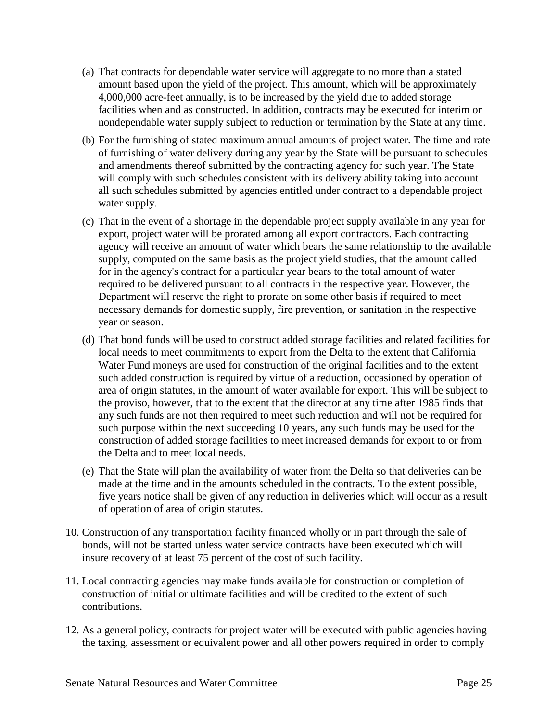- (a) That contracts for dependable water service will aggregate to no more than a stated amount based upon the yield of the project. This amount, which will be approximately 4,000,000 acre-feet annually, is to be increased by the yield due to added storage facilities when and as constructed. In addition, contracts may be executed for interim or nondependable water supply subject to reduction or termination by the State at any time.
- (b) For the furnishing of stated maximum annual amounts of project water. The time and rate of furnishing of water delivery during any year by the State will be pursuant to schedules and amendments thereof submitted by the contracting agency for such year. The State will comply with such schedules consistent with its delivery ability taking into account all such schedules submitted by agencies entitled under contract to a dependable project water supply.
- (c) That in the event of a shortage in the dependable project supply available in any year for export, project water will be prorated among all export contractors. Each contracting agency will receive an amount of water which bears the same relationship to the available supply, computed on the same basis as the project yield studies, that the amount called for in the agency's contract for a particular year bears to the total amount of water required to be delivered pursuant to all contracts in the respective year. However, the Department will reserve the right to prorate on some other basis if required to meet necessary demands for domestic supply, fire prevention, or sanitation in the respective year or season.
- (d) That bond funds will be used to construct added storage facilities and related facilities for local needs to meet commitments to export from the Delta to the extent that California Water Fund moneys are used for construction of the original facilities and to the extent such added construction is required by virtue of a reduction, occasioned by operation of area of origin statutes, in the amount of water available for export. This will be subject to the proviso, however, that to the extent that the director at any time after 1985 finds that any such funds are not then required to meet such reduction and will not be required for such purpose within the next succeeding 10 years, any such funds may be used for the construction of added storage facilities to meet increased demands for export to or from the Delta and to meet local needs.
- (e) That the State will plan the availability of water from the Delta so that deliveries can be made at the time and in the amounts scheduled in the contracts. To the extent possible, five years notice shall be given of any reduction in deliveries which will occur as a result of operation of area of origin statutes.
- 10. Construction of any transportation facility financed wholly or in part through the sale of bonds, will not be started unless water service contracts have been executed which will insure recovery of at least 75 percent of the cost of such facility.
- 11. Local contracting agencies may make funds available for construction or completion of construction of initial or ultimate facilities and will be credited to the extent of such contributions.
- 12. As a general policy, contracts for project water will be executed with public agencies having the taxing, assessment or equivalent power and all other powers required in order to comply